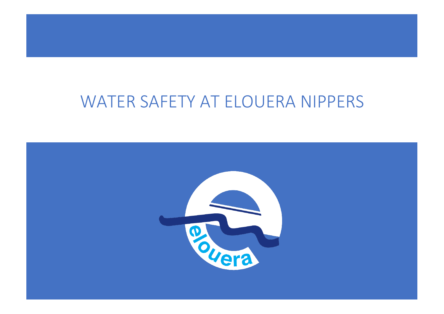# WATER SAFETY AT ELOUERA NIPPERS

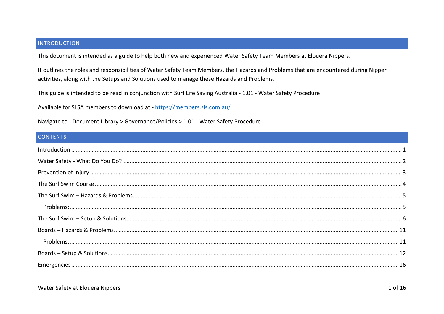## <span id="page-1-0"></span>**INTRODUCTION**

This document is intended as a guide to help both new and experienced Water Safety Team Members at Elouera Nippers.

It outlines the roles and responsibilities of Water Safety Team Members, the Hazards and Problems that are encountered during Nipper activities, along with the Setups and Solutions used to manage these Hazards and Problems.

This guide is intended to be read in conjunction with Surf Life Saving Australia - 1.01 - Water Safety Procedure

Available for SLSA members to download at - https://members.sls.com.au/

Navigate to - Document Library > Governance/Policies > 1.01 - Water Safety Procedure

# **CONTENTS**

| $\small \textsf{Introduction} \, \, \ldots \, \, \ldots \, \, \ldots \, \, \ldots \, \, \ldots \, \, \ldots \, \, \ldots \, \, \ldots \, \, \ldots \, \, \ldots \, \, \ldots \, \, \ldots \, \, \ldots \, \, \ldots \, \, \ldots \, \, \ldots \, \, \ldots \, \, \ldots \, \, \ldots \, \, \ldots \, \, \ldots \, \, \ldots \, \, \ldots \, \, \ldots \, \, \ldots \, \, \ldots \, \, \ldots \, \, \ldots \, \, \ldots \, \, \ldots \,$ |
|-----------------------------------------------------------------------------------------------------------------------------------------------------------------------------------------------------------------------------------------------------------------------------------------------------------------------------------------------------------------------------------------------------------------------------------------|
|                                                                                                                                                                                                                                                                                                                                                                                                                                         |
|                                                                                                                                                                                                                                                                                                                                                                                                                                         |
|                                                                                                                                                                                                                                                                                                                                                                                                                                         |
|                                                                                                                                                                                                                                                                                                                                                                                                                                         |
|                                                                                                                                                                                                                                                                                                                                                                                                                                         |
|                                                                                                                                                                                                                                                                                                                                                                                                                                         |
|                                                                                                                                                                                                                                                                                                                                                                                                                                         |
|                                                                                                                                                                                                                                                                                                                                                                                                                                         |
|                                                                                                                                                                                                                                                                                                                                                                                                                                         |
|                                                                                                                                                                                                                                                                                                                                                                                                                                         |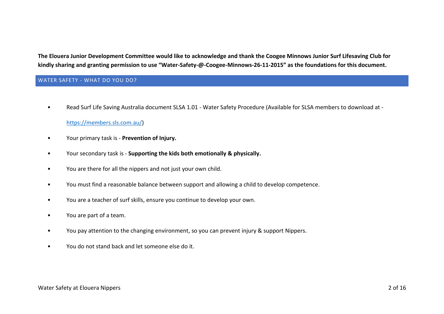**The Elouera Junior Development Committee would like to acknowledge and thank the Coogee Minnows Junior Surf Lifesaving Club for kindly sharing and granting permission to use "Water-Safety-@-Coogee-Minnows-26-11-2015" as the foundations for this document.**

# <span id="page-2-0"></span>WATER SAFETY - WHAT DO YOU DO?

• Read Surf Life Saving Australia document SLSA 1.01 - Water Safety Procedure (Available for SLSA members to download at -

# [https://members.sls.com.au/\)](https://members.sls.com.au/)

- Your primary task is **Prevention of Injury.**
- Your secondary task is **Supporting the kids both emotionally & physically.**
- You are there for all the nippers and not just your own child.
- You must find a reasonable balance between support and allowing a child to develop competence.
- You are a teacher of surf skills, ensure you continue to develop your own.
- You are part of a team.
- You pay attention to the changing environment, so you can prevent injury & support Nippers.
- You do not stand back and let someone else do it.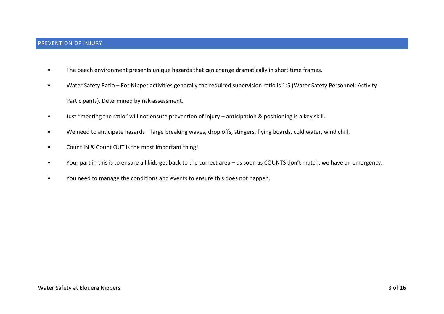- <span id="page-3-0"></span>• The beach environment presents unique hazards that can change dramatically in short time frames.
- Water Safety Ratio For Nipper activities generally the required supervision ratio is 1:5 (Water Safety Personnel: Activity Participants). Determined by risk assessment.
- Just "meeting the ratio" will not ensure prevention of injury anticipation & positioning is a key skill.
- We need to anticipate hazards large breaking waves, drop offs, stingers, flying boards, cold water, wind chill.
- Count IN & Count OUT is the most important thing!
- Your part in this is to ensure all kids get back to the correct area as soon as COUNTS don't match, we have an emergency.
- You need to manage the conditions and events to ensure this does not happen.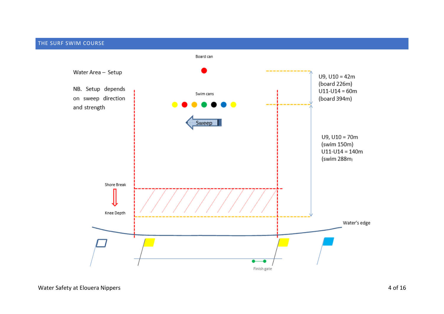## <span id="page-4-0"></span>THE SURF SWIM COURSE

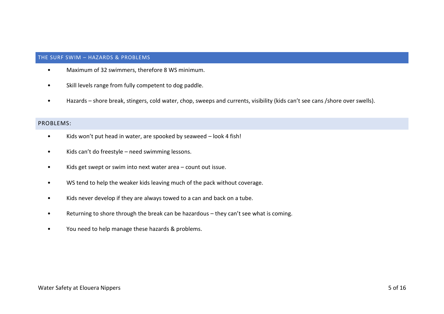## <span id="page-5-0"></span>THE SURF SWIM – HAZARDS & PROBLEMS

- Maximum of 32 swimmers, therefore 8 WS minimum.
- Skill levels range from fully competent to dog paddle.
- Hazards shore break, stingers, cold water, chop, sweeps and currents, visibility (kids can't see cans /shore over swells).

# <span id="page-5-1"></span>PROBLEMS:

- Kids won't put head in water, are spooked by seaweed look 4 fish!
- Kids can't do freestyle need swimming lessons.
- Kids get swept or swim into next water area count out issue.
- WS tend to help the weaker kids leaving much of the pack without coverage.
- Kids never develop if they are always towed to a can and back on a tube.
- Returning to shore through the break can be hazardous they can't see what is coming.
- You need to help manage these hazards & problems.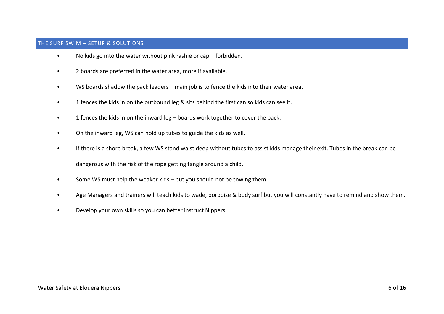### <span id="page-6-0"></span>THE SURF SWIM – SETUP & SOLUTIONS

- No kids go into the water without pink rashie or cap forbidden.
- 2 boards are preferred in the water area, more if available.
- WS boards shadow the pack leaders main job is to fence the kids into their water area.
- 1 fences the kids in on the outbound leg & sits behind the first can so kids can see it.
- 1 fences the kids in on the inward leg boards work together to cover the pack.
- On the inward leg, WS can hold up tubes to guide the kids as well.
- If there is a shore break, a few WS stand waist deep without tubes to assist kids manage their exit. Tubes in the break can be

dangerous with the risk of the rope getting tangle around a child.

- Some WS must help the weaker kids but you should not be towing them.
- Age Managers and trainers will teach kids to wade, porpoise & body surf but you will constantly have to remind and show them.
- Develop your own skills so you can better instruct Nippers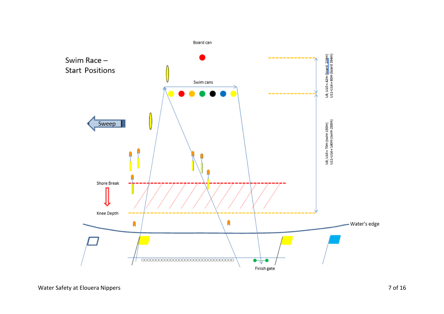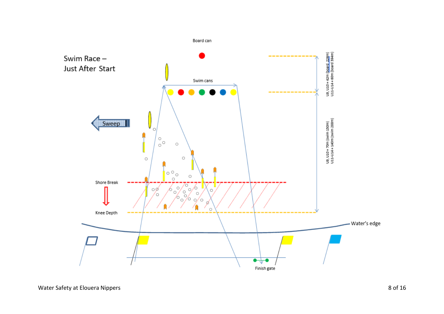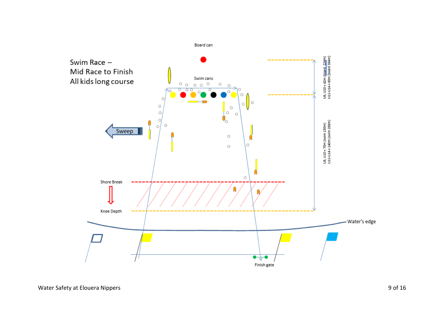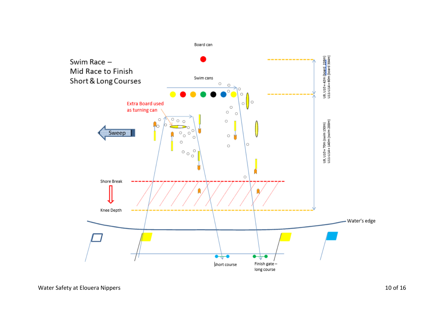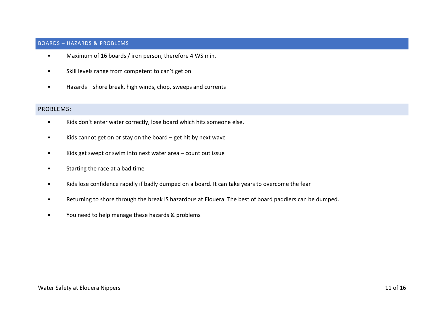### <span id="page-11-0"></span>BOARDS – HAZARDS & PROBLEMS

- Maximum of 16 boards / iron person, therefore 4 WS min.
- Skill levels range from competent to can't get on
- Hazards shore break, high winds, chop, sweeps and currents

## <span id="page-11-1"></span>PROBLEMS:

- Kids don't enter water correctly, lose board which hits someone else.
- Kids cannot get on or stay on the board get hit by next wave
- Kids get swept or swim into next water area count out issue
- Starting the race at a bad time
- Kids lose confidence rapidly if badly dumped on a board. It can take years to overcome the fear
- Returning to shore through the break IS hazardous at Elouera. The best of board paddlers can be dumped.
- You need to help manage these hazards & problems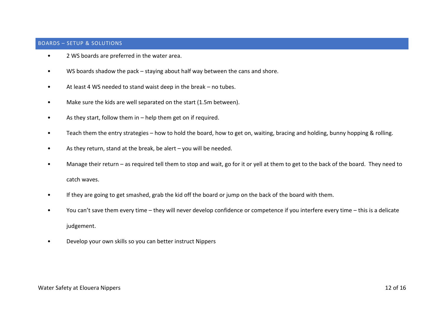### <span id="page-12-0"></span>BOARDS – SETUP & SOLUTIONS

- 2 WS boards are preferred in the water area.
- WS boards shadow the pack staying about half way between the cans and shore.
- At least 4 WS needed to stand waist deep in the break no tubes.
- Make sure the kids are well separated on the start (1.5m between).
- As they start, follow them in help them get on if required.
- Teach them the entry strategies how to hold the board, how to get on, waiting, bracing and holding, bunny hopping & rolling.
- As they return, stand at the break, be alert you will be needed.
- Manage their return as required tell them to stop and wait, go for it or yell at them to get to the back of the board. They need to catch waves.
- If they are going to get smashed, grab the kid off the board or jump on the back of the board with them.
- You can't save them every time they will never develop confidence or competence if you interfere every time this is a delicate judgement.
- Develop your own skills so you can better instruct Nippers

#### Water Safety at Elouera Nippers 12 of 16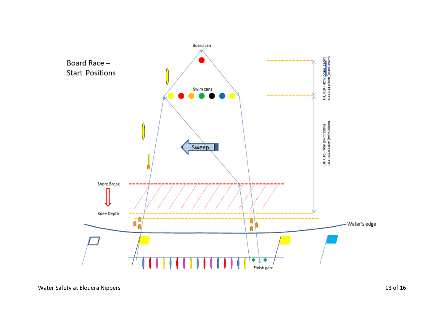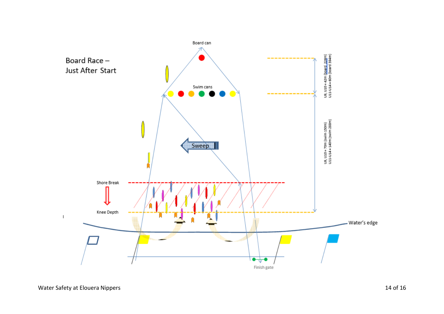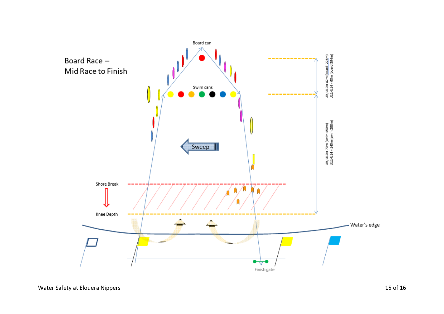